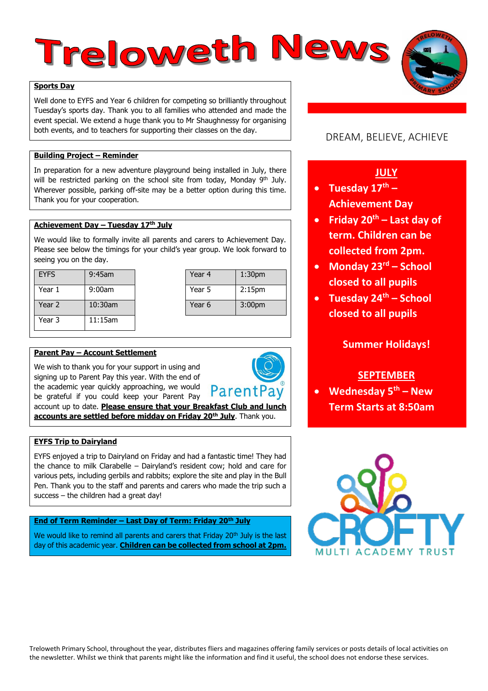# Treloweth News

#### **Sports Day**

Well done to EYFS and Year 6 children for competing so brilliantly throughout Tuesday's sports day. Thank you to all families who attended and made the event special. We extend a huge thank you to Mr Shaughnessy for organising both events, and to teachers for supporting their classes on the day.

#### **Building Project – Reminder**

In preparation for a new adventure playground being installed in July, there will be restricted parking on the school site from today, Monday 9<sup>th</sup> July. Wherever possible, parking off-site may be a better option during this time. Thank you for your cooperation.

## **Achievement Day – Tuesday 17th July**

We would like to formally invite all parents and carers to Achievement Day. Please see below the timings for your child's year group. We look forward to seeing you on the day.

| <b>EYFS</b> | $9:45$ am  | Year 4 | 1:30 <sub>pm</sub> |
|-------------|------------|--------|--------------------|
| Year 1      | $9:00$ am  | Year 5 | 2:15 <sub>pm</sub> |
| Year 2      | $10:30$ am | Year 6 | 3:00 <sub>pm</sub> |
| Year 3      | $11:15$ am |        |                    |

| Year <sub>4</sub> | 1:30 <sub>pm</sub> |  |
|-------------------|--------------------|--|
| Year 5            | 2:15 <sub>pm</sub> |  |
| Year 6            | 3:00 <sub>pm</sub> |  |
|                   |                    |  |

#### **Parent Pay – Account Settlement**

We wish to thank you for your support in using and signing up to Parent Pay this year. With the end of the academic year quickly approaching, we would be grateful if you could keep your Parent Pay



account up to date. **Please ensure that your Breakfast Club and lunch accounts are settled before midday on Friday 20th July**. Thank you.

#### **EYFS Trip to Dairyland**

EYFS enjoyed a trip to Dairyland on Friday and had a fantastic time! They had the chance to milk Clarabelle – Dairyland's resident cow; hold and care for various pets, including gerbils and rabbits; explore the site and play in the Bull Pen. Thank you to the staff and parents and carers who made the trip such a success – the children had a great day!

#### **End of Term Reminder – Last Day of Term: Friday 20th July**

We would like to remind all parents and carers that Friday 20<sup>th</sup> July is the last day of this academic year. **Children can be collected from school at 2pm.**

## DREAM, BELIEVE, ACHIEVE

## **JULY**

- **Tuesday 17th – Achievement Day**
- **Friday 20th – Last day of term. Children can be collected from 2pm.**
- **Monday 23rd – School closed to all pupils**
- **Tuesday 24th – School closed to all pupils**

## **Summer Holidays!**

## **SEPTEMBER**

 **Wednesday 5th – New Term Starts at 8:50am**